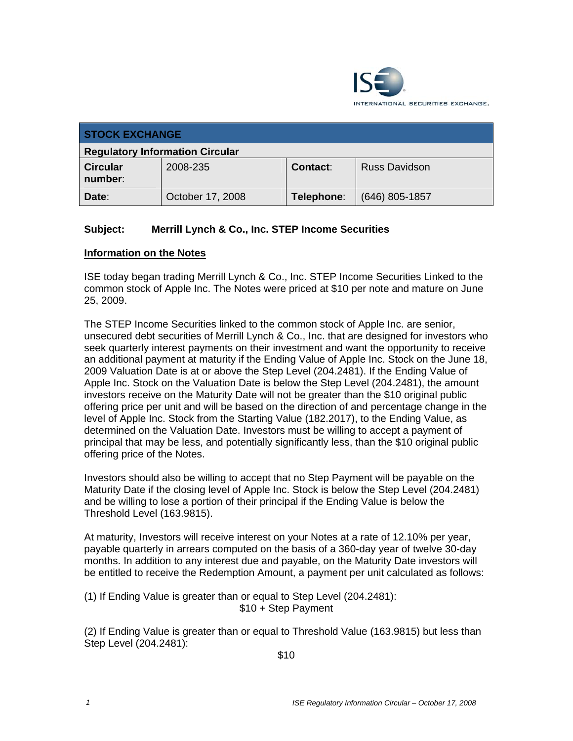

| <b>STOCK EXCHANGE</b>                  |                  |            |                      |  |
|----------------------------------------|------------------|------------|----------------------|--|
| <b>Regulatory Information Circular</b> |                  |            |                      |  |
| <b>Circular</b><br>number:             | 2008-235         | Contact:   | <b>Russ Davidson</b> |  |
| Date:                                  | October 17, 2008 | Telephone: | (646) 805-1857       |  |

## **Subject: Merrill Lynch & Co., Inc. STEP Income Securities**

## **Information on the Notes**

ISE today began trading Merrill Lynch & Co., Inc. STEP Income Securities Linked to the common stock of Apple Inc. The Notes were priced at \$10 per note and mature on June 25, 2009.

The STEP Income Securities linked to the common stock of Apple Inc. are senior, unsecured debt securities of Merrill Lynch & Co., Inc. that are designed for investors who seek quarterly interest payments on their investment and want the opportunity to receive an additional payment at maturity if the Ending Value of Apple Inc. Stock on the June 18, 2009 Valuation Date is at or above the Step Level (204.2481). If the Ending Value of Apple Inc. Stock on the Valuation Date is below the Step Level (204.2481), the amount investors receive on the Maturity Date will not be greater than the \$10 original public offering price per unit and will be based on the direction of and percentage change in the level of Apple Inc. Stock from the Starting Value (182.2017), to the Ending Value, as determined on the Valuation Date. Investors must be willing to accept a payment of principal that may be less, and potentially significantly less, than the \$10 original public offering price of the Notes.

Investors should also be willing to accept that no Step Payment will be payable on the Maturity Date if the closing level of Apple Inc. Stock is below the Step Level (204.2481) and be willing to lose a portion of their principal if the Ending Value is below the Threshold Level (163.9815).

At maturity, Investors will receive interest on your Notes at a rate of 12.10% per year, payable quarterly in arrears computed on the basis of a 360-day year of twelve 30-day months. In addition to any interest due and payable, on the Maturity Date investors will be entitled to receive the Redemption Amount, a payment per unit calculated as follows:

(1) If Ending Value is greater than or equal to Step Level (204.2481): \$10 + Step Payment

(2) If Ending Value is greater than or equal to Threshold Value (163.9815) but less than Step Level (204.2481):

\$10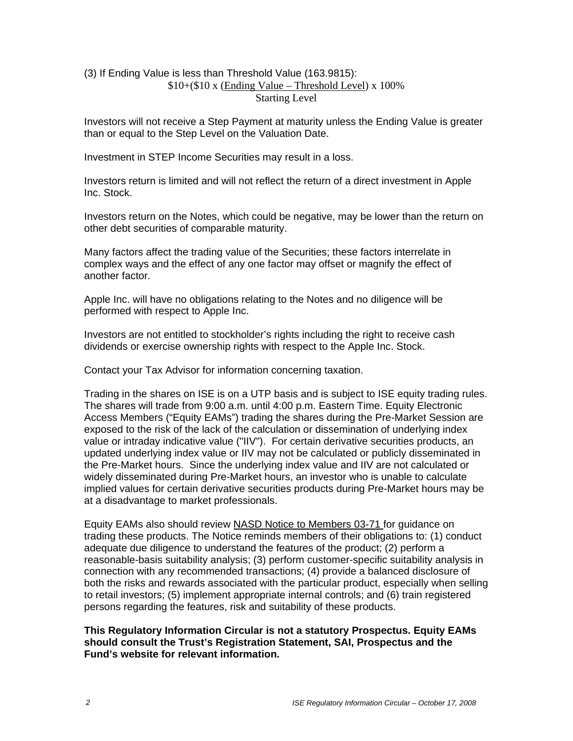## (3) If Ending Value is less than Threshold Value (163.9815):  $$10+($10 x (Ending Value - Threshold Level) x 100\%$ Starting Level

Investors will not receive a Step Payment at maturity unless the Ending Value is greater than or equal to the Step Level on the Valuation Date.

Investment in STEP Income Securities may result in a loss.

Investors return is limited and will not reflect the return of a direct investment in Apple Inc. Stock.

Investors return on the Notes, which could be negative, may be lower than the return on other debt securities of comparable maturity.

Many factors affect the trading value of the Securities; these factors interrelate in complex ways and the effect of any one factor may offset or magnify the effect of another factor.

Apple Inc. will have no obligations relating to the Notes and no diligence will be performed with respect to Apple Inc.

Investors are not entitled to stockholder's rights including the right to receive cash dividends or exercise ownership rights with respect to the Apple Inc. Stock.

Contact your Tax Advisor for information concerning taxation.

Trading in the shares on ISE is on a UTP basis and is subject to ISE equity trading rules. The shares will trade from 9:00 a.m. until 4:00 p.m. Eastern Time. Equity Electronic Access Members ("Equity EAMs") trading the shares during the Pre-Market Session are exposed to the risk of the lack of the calculation or dissemination of underlying index value or intraday indicative value ("IIV"). For certain derivative securities products, an updated underlying index value or IIV may not be calculated or publicly disseminated in the Pre-Market hours. Since the underlying index value and IIV are not calculated or widely disseminated during Pre-Market hours, an investor who is unable to calculate implied values for certain derivative securities products during Pre-Market hours may be at a disadvantage to market professionals.

Equity EAMs also should review NASD Notice to Members 03-71 for guidance on trading these products. The Notice reminds members of their obligations to: (1) conduct adequate due diligence to understand the features of the product; (2) perform a reasonable-basis suitability analysis; (3) perform customer-specific suitability analysis in connection with any recommended transactions; (4) provide a balanced disclosure of both the risks and rewards associated with the particular product, especially when selling to retail investors; (5) implement appropriate internal controls; and (6) train registered persons regarding the features, risk and suitability of these products.

**This Regulatory Information Circular is not a statutory Prospectus. Equity EAMs should consult the Trust's Registration Statement, SAI, Prospectus and the Fund's website for relevant information.**